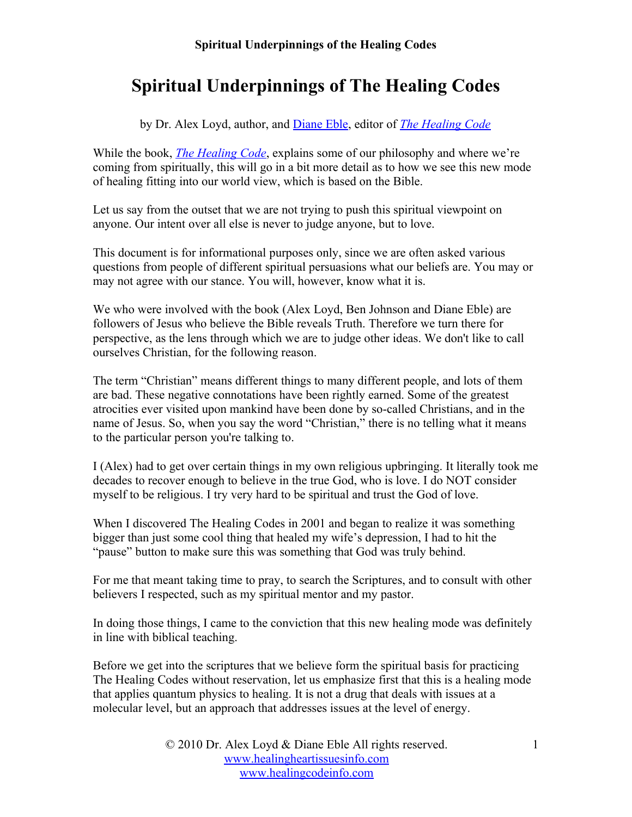# **Spiritual Underpinnings of The Healing Codes**

by Dr. Alex Loyd, author, and [Diane Eble](http://www.thehealingcodeinfo.com/editors-review.html), editor of *[The Healing Code](http://www.thehealingcodeinfo.com/)*

While the book, *[The Healing Code](http://www.thehealingcodeinfo.com/)*, explains some of our philosophy and where we're coming from spiritually, this will go in a bit more detail as to how we see this new mode of healing fitting into our world view, which is based on the Bible.

Let us say from the outset that we are not trying to push this spiritual viewpoint on anyone. Our intent over all else is never to judge anyone, but to love.

This document is for informational purposes only, since we are often asked various questions from people of different spiritual persuasions what our beliefs are. You may or may not agree with our stance. You will, however, know what it is.

We who were involved with the book (Alex Loyd, Ben Johnson and Diane Eble) are followers of Jesus who believe the Bible reveals Truth. Therefore we turn there for perspective, as the lens through which we are to judge other ideas. We don't like to call ourselves Christian, for the following reason.

The term "Christian" means different things to many different people, and lots of them are bad. These negative connotations have been rightly earned. Some of the greatest atrocities ever visited upon mankind have been done by so-called Christians, and in the name of Jesus. So, when you say the word "Christian," there is no telling what it means to the particular person you're talking to.

I (Alex) had to get over certain things in my own religious upbringing. It literally took me decades to recover enough to believe in the true God, who is love. I do NOT consider myself to be religious. I try very hard to be spiritual and trust the God of love.

When I discovered The Healing Codes in 2001 and began to realize it was something bigger than just some cool thing that healed my wife's depression, I had to hit the "pause" button to make sure this was something that God was truly behind.

For me that meant taking time to pray, to search the Scriptures, and to consult with other believers I respected, such as my spiritual mentor and my pastor.

In doing those things, I came to the conviction that this new healing mode was definitely in line with biblical teaching.

Before we get into the scriptures that we believe form the spiritual basis for practicing The Healing Codes without reservation, let us emphasize first that this is a healing mode that applies quantum physics to healing. It is not a drug that deals with issues at a molecular level, but an approach that addresses issues at the level of energy.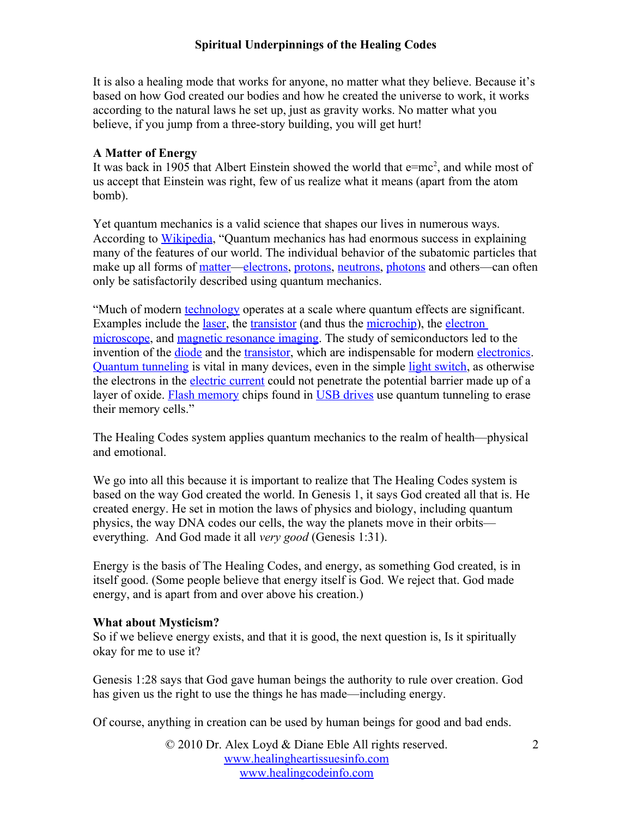It is also a healing mode that works for anyone, no matter what they believe. Because it's based on how God created our bodies and how he created the universe to work, it works according to the natural laws he set up, just as gravity works. No matter what you believe, if you jump from a three-story building, you will get hurt!

## **A Matter of Energy**

It was back in 1905 that Albert Einstein showed the world that  $e=mc^2$ , and while most of us accept that Einstein was right, few of us realize what it means (apart from the atom bomb).

Yet quantum mechanics is a valid science that shapes our lives in numerous ways. According to [Wikipedia](http://en.wikipedia.org/wiki/Quantum_mechanics), "Quantum mechanics has had enormous success in explaining many of the features of our world. The individual behavior of the subatomic particles that make up all forms of [matter—](http://en.wikipedia.org/wiki/Matter)[electrons](http://en.wikipedia.org/wiki/Electron), [protons](http://en.wikipedia.org/wiki/Proton), [neutrons](http://en.wikipedia.org/wiki/Neutron), [photons](http://en.wikipedia.org/wiki/Photon) and others—can often only be satisfactorily described using quantum mechanics.

"Much of modern [technology](http://en.wikipedia.org/wiki/Technology) operates at a scale where quantum effects are significant. Examples include the [laser](http://en.wikipedia.org/wiki/Laser), the [transistor](http://en.wikipedia.org/wiki/Transistor) (and thus the [microchip](http://en.wikipedia.org/wiki/Integrated_circuit)), the electron [microscope](http://en.wikipedia.org/wiki/Electron_microscope), and [magnetic resonance imaging](http://en.wikipedia.org/wiki/Magnetic_Resonance_Imaging). The study of semiconductors led to the invention of the *diode* and the [transistor](http://en.wikipedia.org/wiki/Transistor), which are indispensable for modern [electronics](http://en.wikipedia.org/wiki/Electronics). [Quantum tunneling](http://en.wikipedia.org/wiki/Quantum_tunneling) is vital in many devices, even in the simple [light switch](http://en.wikipedia.org/wiki/Light_switch), as otherwise the electrons in the [electric current](http://en.wikipedia.org/wiki/Electric_current) could not penetrate the potential barrier made up of a layer of oxide. [Flash memory](http://en.wikipedia.org/wiki/Flash_memory) chips found in [USB drives](http://en.wikipedia.org/wiki/USB_drive) use quantum tunneling to erase their memory cells."

The Healing Codes system applies quantum mechanics to the realm of health—physical and emotional.

We go into all this because it is important to realize that The Healing Codes system is based on the way God created the world. In Genesis 1, it says God created all that is. He created energy. He set in motion the laws of physics and biology, including quantum physics, the way DNA codes our cells, the way the planets move in their orbits everything. And God made it all *very good* (Genesis 1:31).

Energy is the basis of The Healing Codes, and energy, as something God created, is in itself good. (Some people believe that energy itself is God. We reject that. God made energy, and is apart from and over above his creation.)

#### **What about Mysticism?**

So if we believe energy exists, and that it is good, the next question is, Is it spiritually okay for me to use it?

Genesis 1:28 says that God gave human beings the authority to rule over creation. God has given us the right to use the things he has made—including energy.

Of course, anything in creation can be used by human beings for good and bad ends.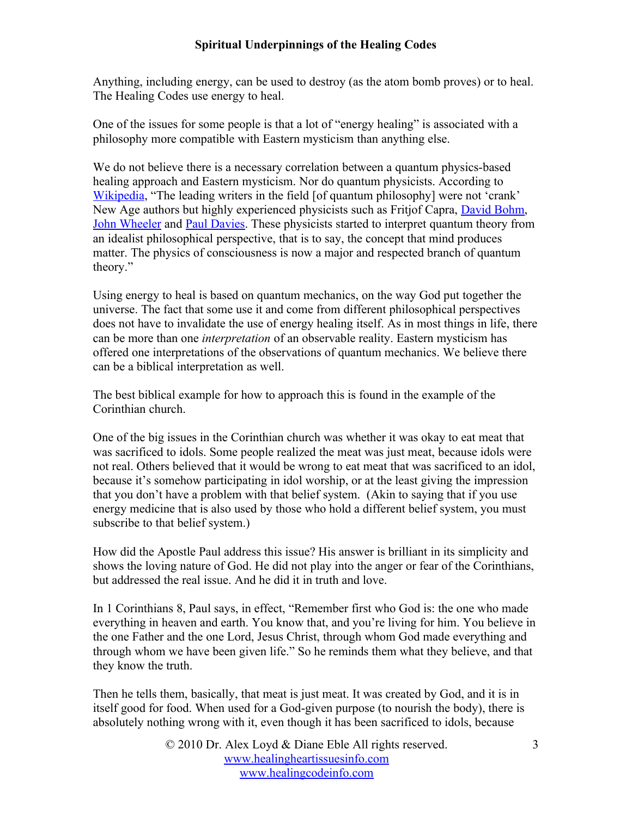Anything, including energy, can be used to destroy (as the atom bomb proves) or to heal. The Healing Codes use energy to heal.

One of the issues for some people is that a lot of "energy healing" is associated with a philosophy more compatible with Eastern mysticism than anything else.

We do not believe there is a necessary correlation between a quantum physics-based healing approach and Eastern mysticism. Nor do quantum physicists. According to [Wikipedia](http://en.wikipedia.org/wiki/Quantum_mysticism), "The leading writers in the field [of quantum philosophy] were not 'crank' New Age authors but highly experienced physicists such as Fritjof Capra, **[David Bohm](http://en.wikipedia.org/wiki/David_Bohm)**, [John Wheeler](http://en.wikipedia.org/wiki/John_Archibald_Wheeler) and [Paul Davies](http://en.wikipedia.org/wiki/Paul_Davies). These physicists started to interpret quantum theory from an idealist philosophical perspective, that is to say, the concept that mind produces matter. The physics of consciousness is now a major and respected branch of quantum theory."

Using energy to heal is based on quantum mechanics, on the way God put together the universe. The fact that some use it and come from different philosophical perspectives does not have to invalidate the use of energy healing itself. As in most things in life, there can be more than one *interpretation* of an observable reality. Eastern mysticism has offered one interpretations of the observations of quantum mechanics. We believe there can be a biblical interpretation as well.

The best biblical example for how to approach this is found in the example of the Corinthian church.

One of the big issues in the Corinthian church was whether it was okay to eat meat that was sacrificed to idols. Some people realized the meat was just meat, because idols were not real. Others believed that it would be wrong to eat meat that was sacrificed to an idol, because it's somehow participating in idol worship, or at the least giving the impression that you don't have a problem with that belief system. (Akin to saying that if you use energy medicine that is also used by those who hold a different belief system, you must subscribe to that belief system.)

How did the Apostle Paul address this issue? His answer is brilliant in its simplicity and shows the loving nature of God. He did not play into the anger or fear of the Corinthians, but addressed the real issue. And he did it in truth and love.

In 1 Corinthians 8, Paul says, in effect, "Remember first who God is: the one who made everything in heaven and earth. You know that, and you're living for him. You believe in the one Father and the one Lord, Jesus Christ, through whom God made everything and through whom we have been given life." So he reminds them what they believe, and that they know the truth.

Then he tells them, basically, that meat is just meat. It was created by God, and it is in itself good for food. When used for a God-given purpose (to nourish the body), there is absolutely nothing wrong with it, even though it has been sacrificed to idols, because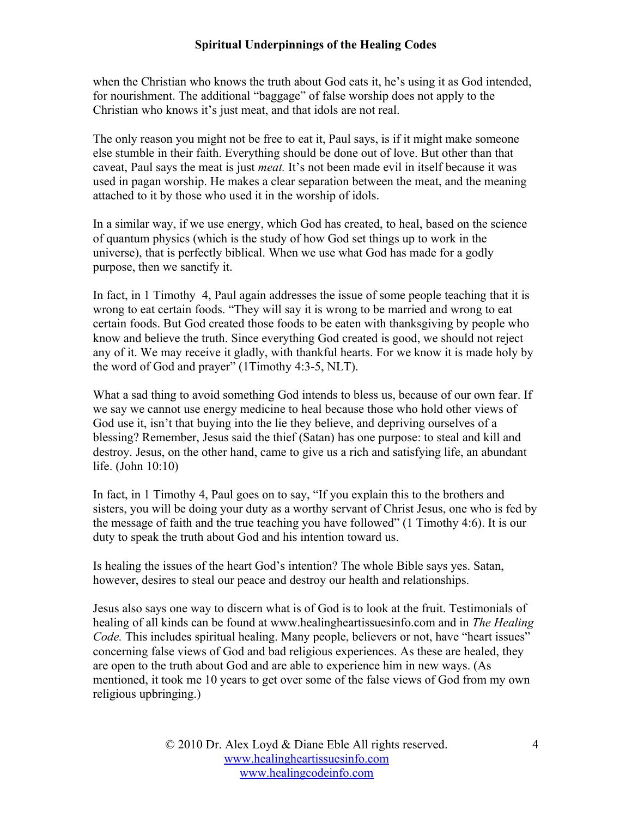when the Christian who knows the truth about God eats it, he's using it as God intended, for nourishment. The additional "baggage" of false worship does not apply to the Christian who knows it's just meat, and that idols are not real.

The only reason you might not be free to eat it, Paul says, is if it might make someone else stumble in their faith. Everything should be done out of love. But other than that caveat, Paul says the meat is just *meat.* It's not been made evil in itself because it was used in pagan worship. He makes a clear separation between the meat, and the meaning attached to it by those who used it in the worship of idols.

In a similar way, if we use energy, which God has created, to heal, based on the science of quantum physics (which is the study of how God set things up to work in the universe), that is perfectly biblical. When we use what God has made for a godly purpose, then we sanctify it.

In fact, in 1 Timothy 4, Paul again addresses the issue of some people teaching that it is wrong to eat certain foods. "They will say it is wrong to be married and wrong to eat certain foods. But God created those foods to be eaten with thanksgiving by people who know and believe the truth. Since everything God created is good, we should not reject any of it. We may receive it gladly, with thankful hearts. For we know it is made holy by the word of God and prayer" (1Timothy 4:3-5, NLT).

What a sad thing to avoid something God intends to bless us, because of our own fear. If we say we cannot use energy medicine to heal because those who hold other views of God use it, isn't that buying into the lie they believe, and depriving ourselves of a blessing? Remember, Jesus said the thief (Satan) has one purpose: to steal and kill and destroy. Jesus, on the other hand, came to give us a rich and satisfying life, an abundant life. (John 10:10)

In fact, in 1 Timothy 4, Paul goes on to say, "If you explain this to the brothers and sisters, you will be doing your duty as a worthy servant of Christ Jesus, one who is fed by the message of faith and the true teaching you have followed" (1 Timothy 4:6). It is our duty to speak the truth about God and his intention toward us.

Is healing the issues of the heart God's intention? The whole Bible says yes. Satan, however, desires to steal our peace and destroy our health and relationships.

Jesus also says one way to discern what is of God is to look at the fruit. Testimonials of healing of all kinds can be found at www.healingheartissuesinfo.com and in *The Healing Code.* This includes spiritual healing. Many people, believers or not, have "heart issues" concerning false views of God and bad religious experiences. As these are healed, they are open to the truth about God and are able to experience him in new ways. (As mentioned, it took me 10 years to get over some of the false views of God from my own religious upbringing.)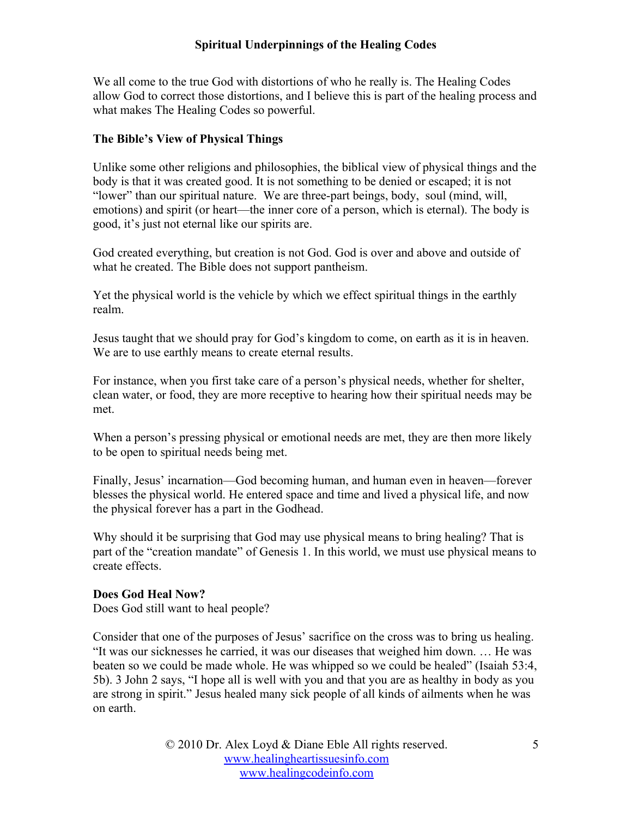We all come to the true God with distortions of who he really is. The Healing Codes allow God to correct those distortions, and I believe this is part of the healing process and what makes The Healing Codes so powerful.

#### **The Bible's View of Physical Things**

Unlike some other religions and philosophies, the biblical view of physical things and the body is that it was created good. It is not something to be denied or escaped; it is not "lower" than our spiritual nature. We are three-part beings, body, soul (mind, will, emotions) and spirit (or heart—the inner core of a person, which is eternal). The body is good, it's just not eternal like our spirits are.

God created everything, but creation is not God. God is over and above and outside of what he created. The Bible does not support pantheism.

Yet the physical world is the vehicle by which we effect spiritual things in the earthly realm.

Jesus taught that we should pray for God's kingdom to come, on earth as it is in heaven. We are to use earthly means to create eternal results.

For instance, when you first take care of a person's physical needs, whether for shelter, clean water, or food, they are more receptive to hearing how their spiritual needs may be met.

When a person's pressing physical or emotional needs are met, they are then more likely to be open to spiritual needs being met.

Finally, Jesus' incarnation—God becoming human, and human even in heaven—forever blesses the physical world. He entered space and time and lived a physical life, and now the physical forever has a part in the Godhead.

Why should it be surprising that God may use physical means to bring healing? That is part of the "creation mandate" of Genesis 1. In this world, we must use physical means to create effects.

#### **Does God Heal Now?**

Does God still want to heal people?

Consider that one of the purposes of Jesus' sacrifice on the cross was to bring us healing. "It was our sicknesses he carried, it was our diseases that weighed him down. … He was beaten so we could be made whole. He was whipped so we could be healed" (Isaiah 53:4, 5b). 3 John 2 says, "I hope all is well with you and that you are as healthy in body as you are strong in spirit." Jesus healed many sick people of all kinds of ailments when he was on earth.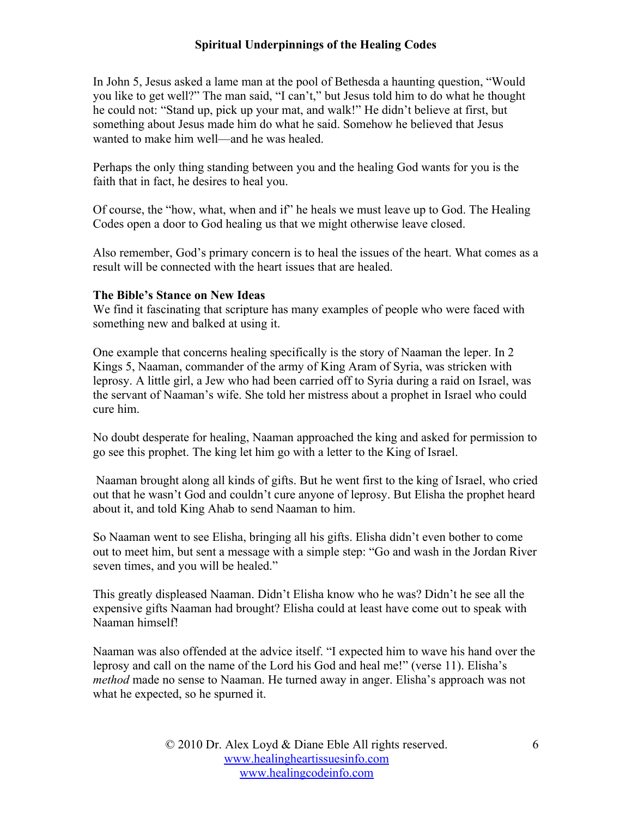In John 5, Jesus asked a lame man at the pool of Bethesda a haunting question, "Would you like to get well?" The man said, "I can't," but Jesus told him to do what he thought he could not: "Stand up, pick up your mat, and walk!" He didn't believe at first, but something about Jesus made him do what he said. Somehow he believed that Jesus wanted to make him well—and he was healed.

Perhaps the only thing standing between you and the healing God wants for you is the faith that in fact, he desires to heal you.

Of course, the "how, what, when and if" he heals we must leave up to God. The Healing Codes open a door to God healing us that we might otherwise leave closed.

Also remember, God's primary concern is to heal the issues of the heart. What comes as a result will be connected with the heart issues that are healed.

#### **The Bible's Stance on New Ideas**

We find it fascinating that scripture has many examples of people who were faced with something new and balked at using it.

One example that concerns healing specifically is the story of Naaman the leper. In 2 Kings 5, Naaman, commander of the army of King Aram of Syria, was stricken with leprosy. A little girl, a Jew who had been carried off to Syria during a raid on Israel, was the servant of Naaman's wife. She told her mistress about a prophet in Israel who could cure him.

No doubt desperate for healing, Naaman approached the king and asked for permission to go see this prophet. The king let him go with a letter to the King of Israel.

 Naaman brought along all kinds of gifts. But he went first to the king of Israel, who cried out that he wasn't God and couldn't cure anyone of leprosy. But Elisha the prophet heard about it, and told King Ahab to send Naaman to him.

So Naaman went to see Elisha, bringing all his gifts. Elisha didn't even bother to come out to meet him, but sent a message with a simple step: "Go and wash in the Jordan River seven times, and you will be healed."

This greatly displeased Naaman. Didn't Elisha know who he was? Didn't he see all the expensive gifts Naaman had brought? Elisha could at least have come out to speak with Naaman himself!

Naaman was also offended at the advice itself. "I expected him to wave his hand over the leprosy and call on the name of the Lord his God and heal me!" (verse 11). Elisha's *method* made no sense to Naaman. He turned away in anger. Elisha's approach was not what he expected, so he spurned it.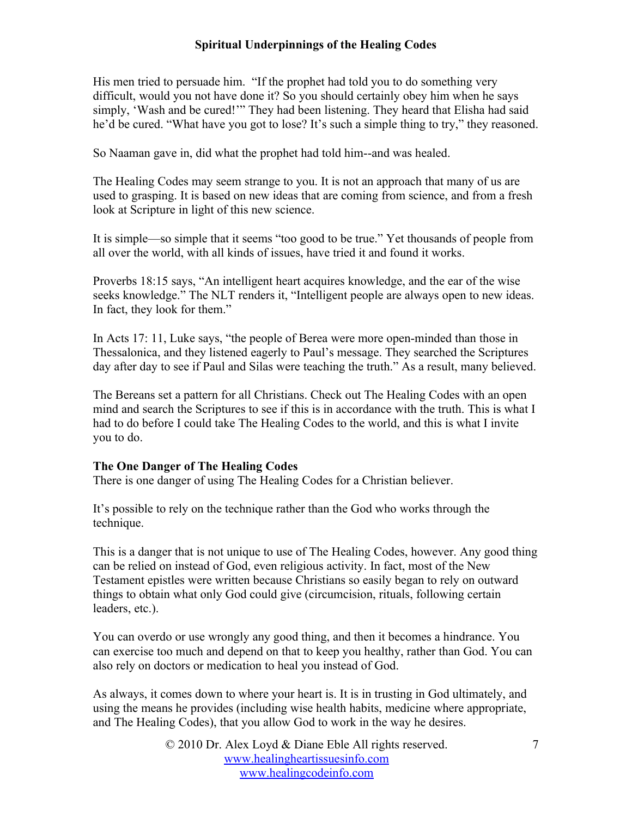His men tried to persuade him. "If the prophet had told you to do something very difficult, would you not have done it? So you should certainly obey him when he says simply, 'Wash and be cured!'" They had been listening. They heard that Elisha had said he'd be cured. "What have you got to lose? It's such a simple thing to try," they reasoned.

So Naaman gave in, did what the prophet had told him--and was healed.

The Healing Codes may seem strange to you. It is not an approach that many of us are used to grasping. It is based on new ideas that are coming from science, and from a fresh look at Scripture in light of this new science.

It is simple—so simple that it seems "too good to be true." Yet thousands of people from all over the world, with all kinds of issues, have tried it and found it works.

Proverbs 18:15 says, "An intelligent heart acquires knowledge, and the ear of the wise seeks knowledge." The NLT renders it, "Intelligent people are always open to new ideas. In fact, they look for them."

In Acts 17: 11, Luke says, "the people of Berea were more open-minded than those in Thessalonica, and they listened eagerly to Paul's message. They searched the Scriptures day after day to see if Paul and Silas were teaching the truth." As a result, many believed.

The Bereans set a pattern for all Christians. Check out The Healing Codes with an open mind and search the Scriptures to see if this is in accordance with the truth. This is what I had to do before I could take The Healing Codes to the world, and this is what I invite you to do.

## **The One Danger of The Healing Codes**

There is one danger of using The Healing Codes for a Christian believer.

It's possible to rely on the technique rather than the God who works through the technique.

This is a danger that is not unique to use of The Healing Codes, however. Any good thing can be relied on instead of God, even religious activity. In fact, most of the New Testament epistles were written because Christians so easily began to rely on outward things to obtain what only God could give (circumcision, rituals, following certain leaders, etc.).

You can overdo or use wrongly any good thing, and then it becomes a hindrance. You can exercise too much and depend on that to keep you healthy, rather than God. You can also rely on doctors or medication to heal you instead of God.

As always, it comes down to where your heart is. It is in trusting in God ultimately, and using the means he provides (including wise health habits, medicine where appropriate, and The Healing Codes), that you allow God to work in the way he desires.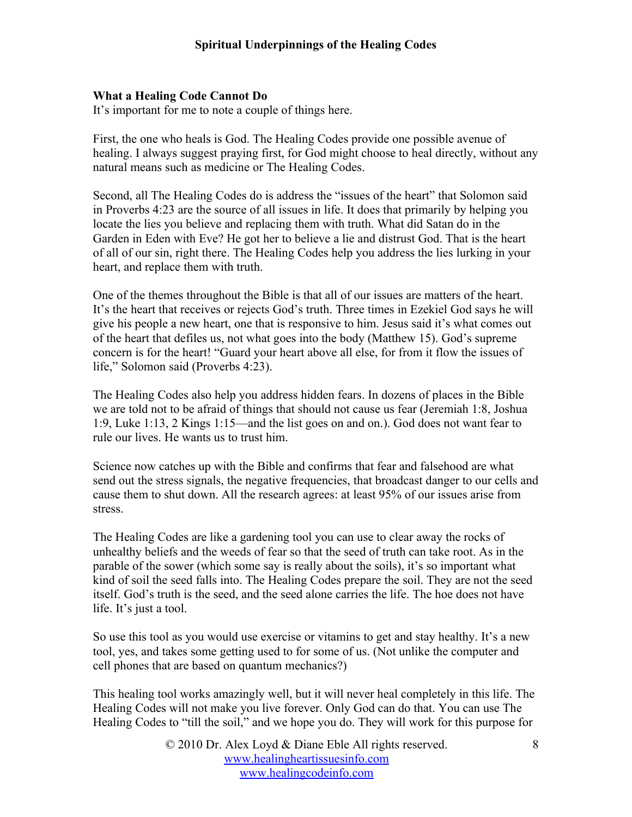## **What a Healing Code Cannot Do**

It's important for me to note a couple of things here.

First, the one who heals is God. The Healing Codes provide one possible avenue of healing. I always suggest praying first, for God might choose to heal directly, without any natural means such as medicine or The Healing Codes.

Second, all The Healing Codes do is address the "issues of the heart" that Solomon said in Proverbs 4:23 are the source of all issues in life. It does that primarily by helping you locate the lies you believe and replacing them with truth. What did Satan do in the Garden in Eden with Eve? He got her to believe a lie and distrust God. That is the heart of all of our sin, right there. The Healing Codes help you address the lies lurking in your heart, and replace them with truth.

One of the themes throughout the Bible is that all of our issues are matters of the heart. It's the heart that receives or rejects God's truth. Three times in Ezekiel God says he will give his people a new heart, one that is responsive to him. Jesus said it's what comes out of the heart that defiles us, not what goes into the body (Matthew 15). God's supreme concern is for the heart! "Guard your heart above all else, for from it flow the issues of life," Solomon said (Proverbs 4:23).

The Healing Codes also help you address hidden fears. In dozens of places in the Bible we are told not to be afraid of things that should not cause us fear (Jeremiah 1:8, Joshua 1:9, Luke 1:13, 2 Kings 1:15—and the list goes on and on.). God does not want fear to rule our lives. He wants us to trust him.

Science now catches up with the Bible and confirms that fear and falsehood are what send out the stress signals, the negative frequencies, that broadcast danger to our cells and cause them to shut down. All the research agrees: at least 95% of our issues arise from stress.

The Healing Codes are like a gardening tool you can use to clear away the rocks of unhealthy beliefs and the weeds of fear so that the seed of truth can take root. As in the parable of the sower (which some say is really about the soils), it's so important what kind of soil the seed falls into. The Healing Codes prepare the soil. They are not the seed itself. God's truth is the seed, and the seed alone carries the life. The hoe does not have life. It's just a tool.

So use this tool as you would use exercise or vitamins to get and stay healthy. It's a new tool, yes, and takes some getting used to for some of us. (Not unlike the computer and cell phones that are based on quantum mechanics?)

This healing tool works amazingly well, but it will never heal completely in this life. The Healing Codes will not make you live forever. Only God can do that. You can use The Healing Codes to "till the soil," and we hope you do. They will work for this purpose for